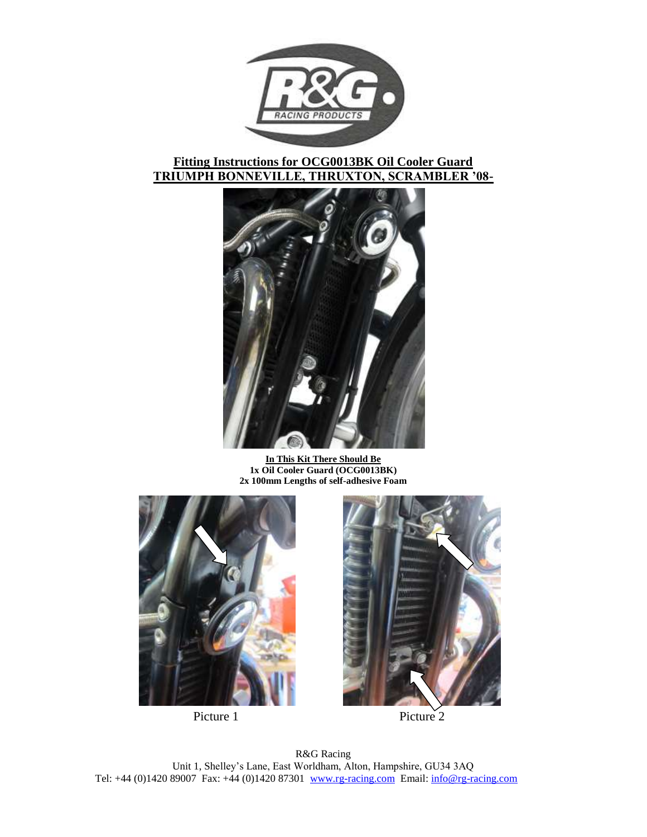

# **Fitting Instructions for OCG0013BK Oil Cooler Guard TRIUMPH BONNEVILLE, THRUXTON, SCRAMBLER '08-**



**In This Kit There Should Be 1x Oil Cooler Guard (OCG0013BK) 2x 100mm Lengths of self-adhesive Foam**





Picture 1 Picture 2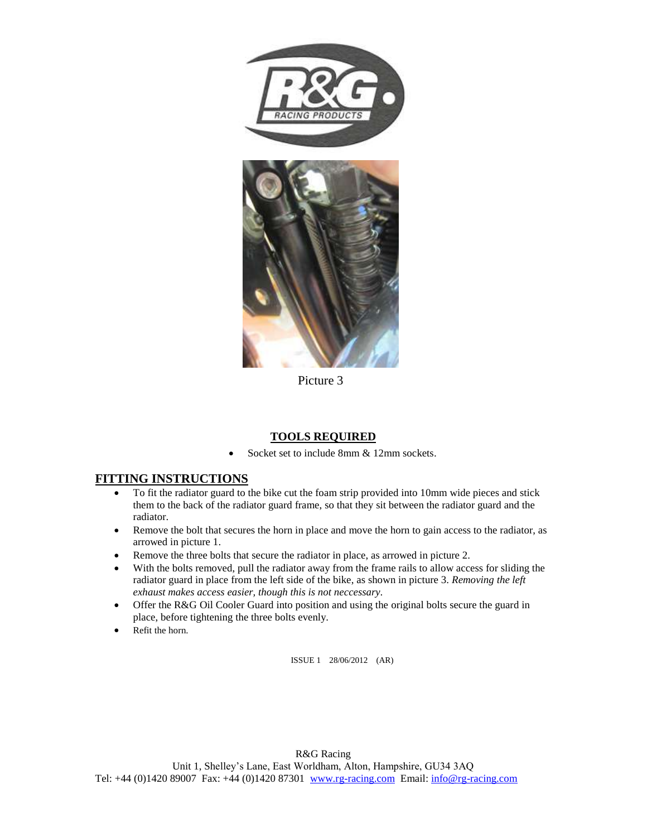

Picture 3

## **TOOLS REQUIRED**

Socket set to include 8mm & 12mm sockets.

## **FITTING INSTRUCTIONS**

- To fit the radiator guard to the bike cut the foam strip provided into 10mm wide pieces and stick them to the back of the radiator guard frame, so that they sit between the radiator guard and the radiator.
- Remove the bolt that secures the horn in place and move the horn to gain access to the radiator, as arrowed in picture 1.
- Remove the three bolts that secure the radiator in place, as arrowed in picture 2.
- With the bolts removed, pull the radiator away from the frame rails to allow access for sliding the radiator guard in place from the left side of the bike, as shown in picture 3. *Removing the left exhaust makes access easier, though this is not neccessary.*
- Offer the R&G Oil Cooler Guard into position and using the original bolts secure the guard in place, before tightening the three bolts evenly.
- Refit the horn.

ISSUE 1 28/06/2012 (AR)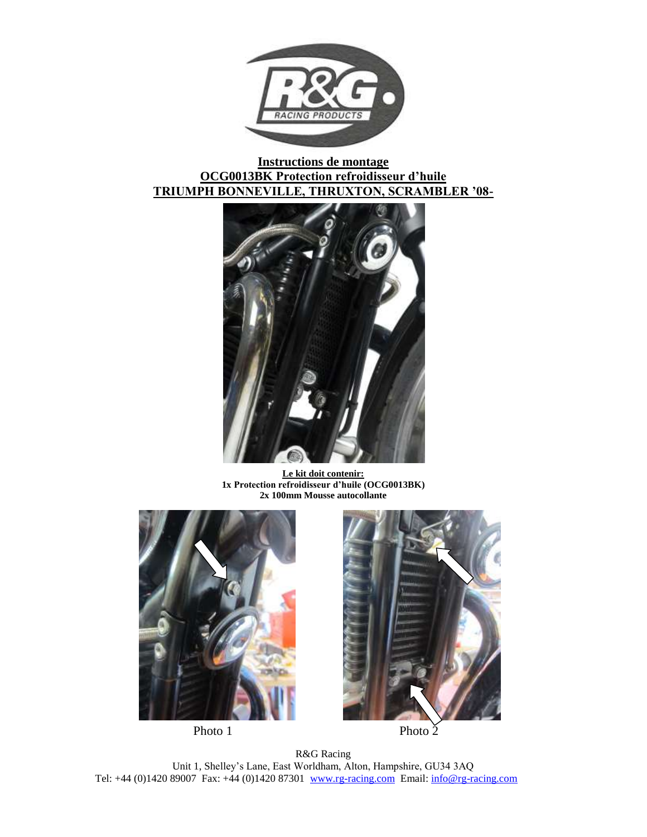

# **Instructions de montage OCG0013BK Protection refroidisseur d'huile TRIUMPH BONNEVILLE, THRUXTON, SCRAMBLER '08-**



**Le kit doit contenir: 1x Protection refroidisseur d'huile (OCG0013BK) 2x 100mm Mousse autocollante**





Photo 1 Photo  $\check{2}$ 

R&G Racing Unit 1, Shelley's Lane, East Worldham, Alton, Hampshire, GU34 3AQ Tel: +44 (0)1420 89007 Fax: +44 (0)1420 87301 [www.rg-racing.com](http://www.rg-racing.com/) Email: [info@rg-racing.com](mailto:info@rg-racing.com)